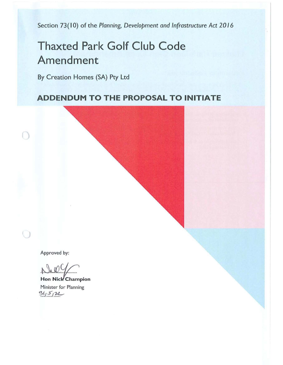Section 73(10) of the *Planning*, Development and Infrastructure Act 2016

# **Thaxted Park Golf Club Code Amendment**

By Creation Homes (SA) Pty Ltd

## **ADDENDUM TO THE PROPOSAL TO INITIATE**

Approved by:

 $\Box$ 

Hon Nick Champion Minister for Planning  $31512$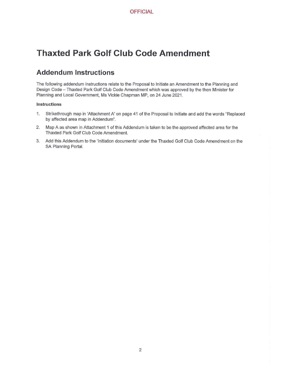## **Thaxted Park Golf Club Code Amendment**

### **Addendum Instructions**

The following addendum instructions relate to the Proposal to Initiate an Amendment to the Planning and Design Code - Thaxted Park Golf Club Code Amendment which was approved by the then Minister for Planning and Local Government, Ms Vickie Chapman MP, on 24 June 2021.

#### **Instructions**

- 1. Strikethrough map in 'Attachment A' on page 41 of the Proposal to Initiate and add the words "Replaced by affected area map in Addendum".
- 2. Map A as shown in Attachment 1 of this Addendum is taken to be the approved affected area for the Thaxted Park Golf Club Code Amendment.
- 3. Add this Addendum to the 'Initiation documents' under the Thaxted Golf Club Code Amendment on the SA Planning Portal.